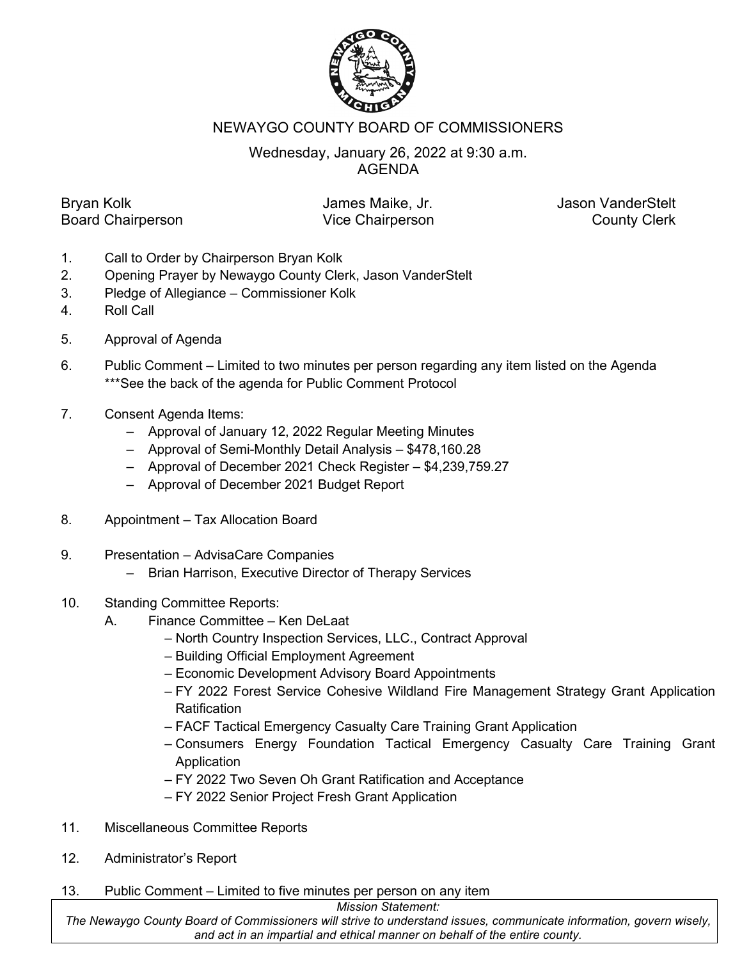

## NEWAYGO COUNTY BOARD OF COMMISSIONERS

## Wednesday, January 26, 2022 at 9:30 a.m. AGENDA

Bryan Kolk **Internative Collection** James Maike, Jr. **January Jason VanderStelt** Board Chairperson **County Clerk** Vice Chairperson **County Clerk** 

- 1. Call to Order by Chairperson Bryan Kolk
- 2. Opening Prayer by Newaygo County Clerk, Jason VanderStelt
- 3. Pledge of Allegiance Commissioner Kolk
- 4. Roll Call
- 5. Approval of Agenda
- 6. Public Comment Limited to two minutes per person regarding any item listed on the Agenda \*\*\*See the back of the agenda for Public Comment Protocol
- 7. Consent Agenda Items:
	- Approval of January 12, 2022 Regular Meeting Minutes
	- Approval of Semi-Monthly Detail Analysis \$478,160.28
	- Approval of December 2021 Check Register \$4,239,759.27
	- Approval of December 2021 Budget Report
- 8. Appointment Tax Allocation Board
- 9. Presentation AdvisaCare Companies
	- Brian Harrison, Executive Director of Therapy Services
- 10. Standing Committee Reports:
	- A. Finance Committee Ken DeLaat
		- North Country Inspection Services, LLC., Contract Approval
		- Building Official Employment Agreement
		- Economic Development Advisory Board Appointments
		- FY 2022 Forest Service Cohesive Wildland Fire Management Strategy Grant Application **Ratification**
		- FACF Tactical Emergency Casualty Care Training Grant Application
		- Consumers Energy Foundation Tactical Emergency Casualty Care Training Grant **Application**
		- FY 2022 Two Seven Oh Grant Ratification and Acceptance
		- FY 2022 Senior Project Fresh Grant Application
- 11. Miscellaneous Committee Reports
- 12. Administrator's Report
- 13. Public Comment Limited to five minutes per person on any item

*Mission Statement:*

*The Newaygo County Board of Commissioners will strive to understand issues, communicate information, govern wisely, and act in an impartial and ethical manner on behalf of the entire county.*